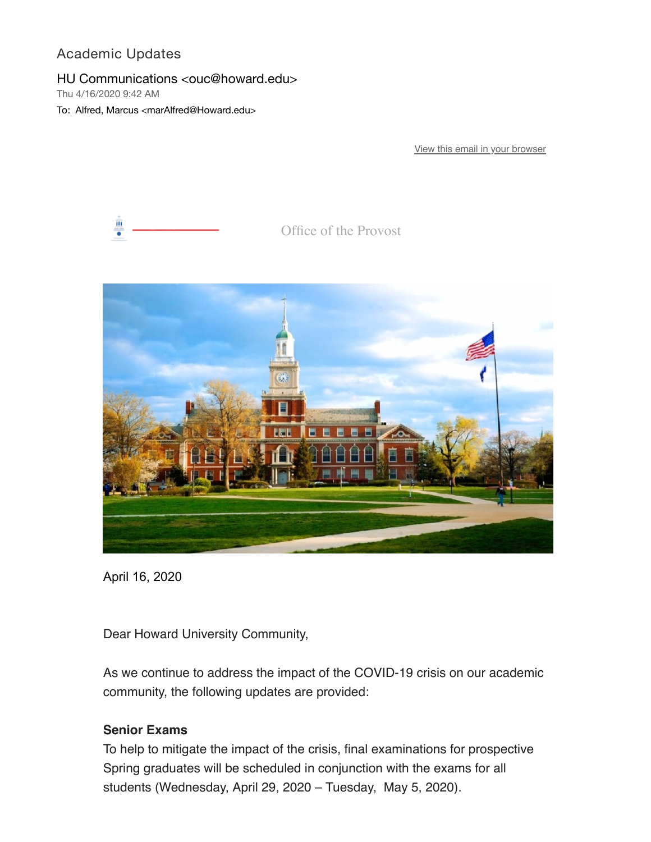# Academic Updates

### HU Communications <ouc@howard.edu>

Thu 4/16/2020 9:42 AM

To: Alfred, Marcus <marAlfred@Howard.edu>

[View this email in your browser](https://nam04.safelinks.protection.outlook.com/?url=https%3A%2F%2Fmailchi.mp%2Fab8fb4bdae7e%2Facademic-updates-610310%3Fe%3D0058eb68db&data=02%7C01%7CmarAlfred%40Howard.edu%7C2d9944d422124cab35f208d7e20c0613%7C02ac0c07b75f46bf9b133630ba94bb69%7C0%7C0%7C637226413581203298&sdata=kM9fiKclrRoOpx%2FTA4%2F44tLqMcMS19cfW8zYHKKvPTk%3D&reserved=0)



Office of the Provost



April 16, 2020

Dear Howard University Community,

As we continue to address the impact of the COVID-19 crisis on our academic community, the following updates are provided:

### **Senior Exams**

To help to mitigate the impact of the crisis, final examinations for prospective Spring graduates will be scheduled in conjunction with the exams for all students (Wednesday, April 29, 2020 – Tuesday, May 5, 2020).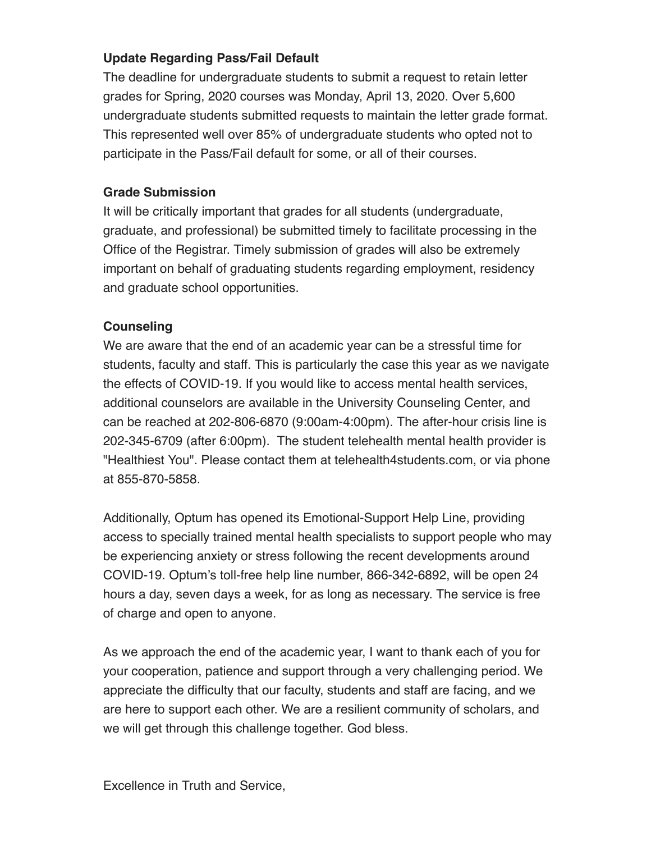# **Update Regarding Pass/Fail Default**

The deadline for undergraduate students to submit a request to retain letter grades for Spring, 2020 courses was Monday, April 13, 2020. Over 5,600 undergraduate students submitted requests to maintain the letter grade format. This represented well over 85% of undergraduate students who opted not to participate in the Pass/Fail default for some, or all of their courses.

## **Grade Submission**

It will be critically important that grades for all students (undergraduate, graduate, and professional) be submitted timely to facilitate processing in the Office of the Registrar. Timely submission of grades will also be extremely important on behalf of graduating students regarding employment, residency and graduate school opportunities.

## **Counseling**

We are aware that the end of an academic year can be a stressful time for students, faculty and staff. This is particularly the case this year as we navigate the effects of COVID-19. If you would like to access mental health services, additional counselors are available in the University Counseling Center, and can be reached at 202-806-6870 (9:00am-4:00pm). The after-hour crisis line is 202-345-6709 (after 6:00pm). The student telehealth mental health provider is "Healthiest You". Please contact them at telehealth4students.com, or via phone at 855-870-5858.

Additionally, Optum has opened its Emotional-Support Help Line, providing access to specially trained mental health specialists to support people who may be experiencing anxiety or stress following the recent developments around COVID-19. Optum's toll-free help line number, 866-342-6892, will be open 24 hours a day, seven days a week, for as long as necessary. The service is free of charge and open to anyone.

As we approach the end of the academic year, I want to thank each of you for your cooperation, patience and support through a very challenging period. We appreciate the difficulty that our faculty, students and staff are facing, and we are here to support each other. We are a resilient community of scholars, and we will get through this challenge together. God bless.